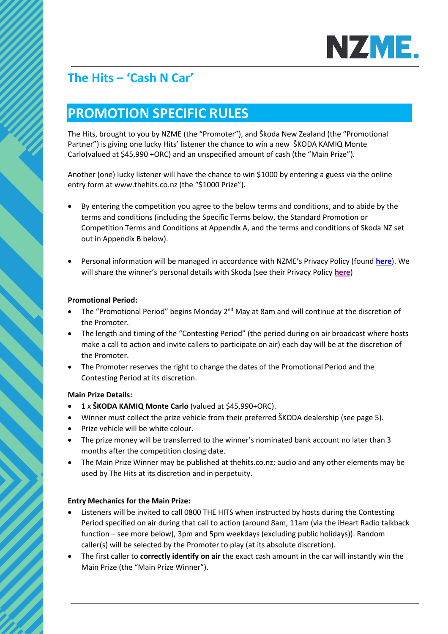

# **The Hits – 'Cash N Car'**

# **PROMOTION SPECIFIC RULES**

The Hits, brought to you by NZME (the "Promoter"), and Škoda New Zealand (the "Promotional Partner") is giving one lucky Hits' listener the chance to win a new ŠKODA KAMIQ Monte Carlo(valued at \$45,990 +ORC) and an unspecified amount of cash (the "Main Prize").

Another (one) lucky listener will have the chance to win \$1000 by entering a guess via the online entry form at [www.thehits.co.nz](http://www.thehits.co.nz/) (the "\$1000 Prize").

- By entering the competition you agree to the below terms and conditions, and to abide by the terms and conditions (including the Specific Terms below, the Standard Promotion or Competition Terms and Conditions at Appendix A, and the terms and conditions of Skoda NZ set out in Appendix B below).
- Personal information will be managed in accordance with NZME's Privacy Policy (found **[here](https://www.nzme.co.nz/media/5ihfylhk/nzme-privacy-policy_may2021_v2.pdf)**). We will share the winner's personal details with Skoda (see their Privacy Policy **[here](https://www.skoda.co.nz/other/privacy-policy?_ga=2.111431428.1204900923.1605481065-35aae27b-21e7-4c4a-95d2-cf03683c3ab6)**)

## **Promotional Period:**

- The "Promotional Period" begins Monday 2<sup>nd</sup> May at 8am and will continue at the discretion of the Promoter.
- The length and timing of the "Contesting Period" (the period during on air broadcast where hosts make a call to action and invite callers to participate on air) each day will be at the discretion of the Promoter.
- The Promoter reserves the right to change the dates of the Promotional Period and the Contesting Period at its discretion.

## **Main Prize Details:**

- 1 x **ŠKODA KAMIQ Monte Carlo** (valued at \$45,990+ORC).
- Winner must collect the prize vehicle from their preferred ŠKODA dealership (see page 5).
- Prize vehicle will be white colour.
- The prize money will be transferred to the winner's nominated bank account no later than 3 months after the competition closing date.
- The Main Prize Winner may be published at thehits.co.nz; audio and any other elements may be used by The Hits at its discretion and in perpetuity.

## **Entry Mechanics for the Main Prize:**

- Listeners will be invited to call 0800 THE HITS when instructed by hosts during the Contesting Period specified on air during that call to action (around 8am, 11am (via the iHeart Radio talkback function – see more below), 3pm and 5pm weekdays (excluding public holidays)). Random caller(s) will be selected by the Promoter to play (at its absolute discretion).
- The first caller to **correctly identify on air** the exact cash amount in the car will instantly win the Main Prize (the "Main Prize Winner").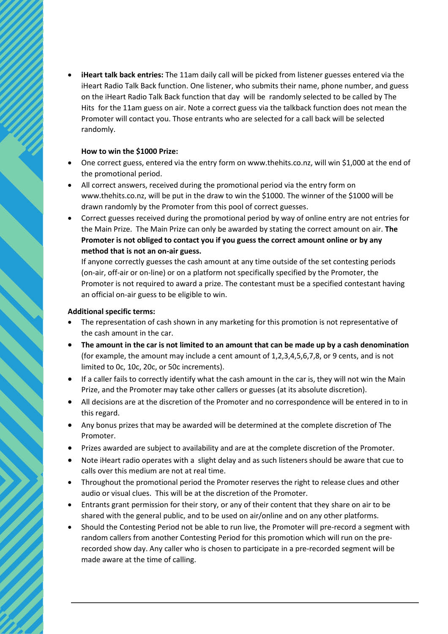• **iHeart talk back entries:** The 11am daily call will be picked from listener guesses entered via the iHeart Radio Talk Back function. One listener, who submits their name, phone number, and guess on the iHeart Radio Talk Back function that day will be randomly selected to be called by The Hits for the 11am guess on air. Note a correct guess via the talkback function does not mean the Promoter will contact you. Those entrants who are selected for a call back will be selected randomly.

### **How to win the \$1000 Prize:**

- One correct guess, entered via the entry form on www.thehits.co.nz, will win \$1,000 at the end of the promotional period.
- All correct answers, received during the promotional period via the entry form on www.thehits.co.nz, will be put in the draw to win the \$1000. The winner of the \$1000 will be drawn randomly by the Promoter from this pool of correct guesses.
- Correct guesses received during the promotional period by way of online entry are not entries for the Main Prize. The Main Prize can only be awarded by stating the correct amount on air. **The Promoter is not obliged to contact you if you guess the correct amount online or by any method that is not an on-air guess.**

If anyone correctly guesses the cash amount at any time outside of the set contesting periods (on-air, off-air or on-line) or on a platform not specifically specified by the Promoter, the Promoter is not required to award a prize. The contestant must be a specified contestant having an official on-air guess to be eligible to win.

### **Additional specific terms:**

- The representation of cash shown in any marketing for this promotion is not representative of the cash amount in the car.
- **The amount in the car is not limited to an amount that can be made up by a cash denomination**  (for example, the amount may include a cent amount of 1,2,3,4,5,6,7,8, or 9 cents, and is not limited to 0c, 10c, 20c, or 50c increments).
- If a caller fails to correctly identify what the cash amount in the car is, they will not win the Main Prize, and the Promoter may take other callers or guesses (at its absolute discretion).
- All decisions are at the discretion of the Promoter and no correspondence will be entered in to in this regard.
- Any bonus prizes that may be awarded will be determined at the complete discretion of The Promoter.
- Prizes awarded are subject to availability and are at the complete discretion of the Promoter.
- Note iHeart radio operates with a slight delay and as such listeners should be aware that cue to calls over this medium are not at real time.
- Throughout the promotional period the Promoter reserves the right to release clues and other audio or visual clues. This will be at the discretion of the Promoter.
- Entrants grant permission for their story, or any of their content that they share on air to be shared with the general public, and to be used on air/online and on any other platforms.
- Should the Contesting Period not be able to run live, the Promoter will pre-record a segment with random callers from another Contesting Period for this promotion which will run on the prerecorded show day. Any caller who is chosen to participate in a pre-recorded segment will be made aware at the time of calling.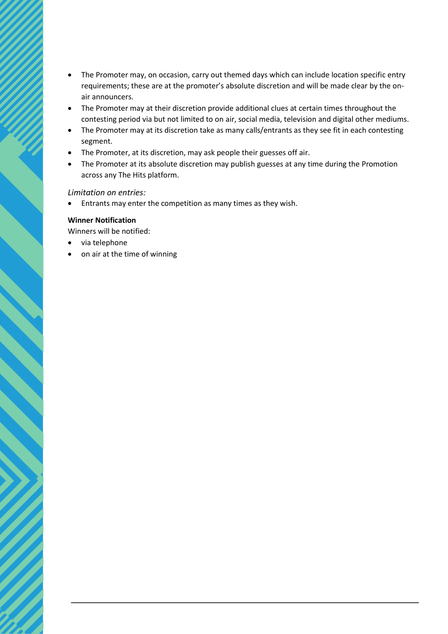- The Promoter may, on occasion, carry out themed days which can include location specific entry requirements; these are at the promoter's absolute discretion and will be made clear by the onair announcers.
- The Promoter may at their discretion provide additional clues at certain times throughout the contesting period via but not limited to on air, social media, television and digital other mediums.
- The Promoter may at its discretion take as many calls/entrants as they see fit in each contesting segment.
- The Promoter, at its discretion, may ask people their guesses off air.
- The Promoter at its absolute discretion may publish guesses at any time during the Promotion across any The Hits platform.

### *Limitation on entries:*

• Entrants may enter the competition as many times as they wish.

## **Winner Notification**

Winners will be notified:

- via telephone
- on air at the time of winning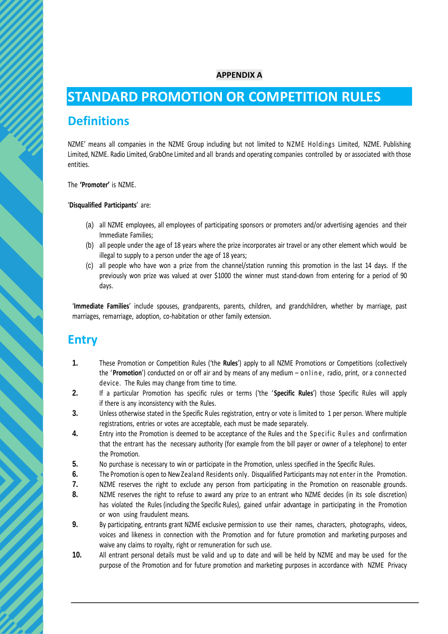# **APPENDIX A**

# **STANDARD PROMOTION OR COMPETITION RULES**

# **Definitions**

NZME' means all companies in the NZME Group including but not limited to NZME Holdings Limited, NZME. Publishing Limited, NZME. Radio Limited, GrabOne Limited and all brands and operating companies controlled by or associated with those entities.

The **'Promoter'** is NZME.

'**Disqualified Participants**' are:

- (a) all NZME employees, all employees of participating sponsors or promoters and/or advertising agencies and their Immediate Families;
- (b) all people under the age of 18 years where the prize incorporates air travel or any other element which would be illegal to supply to a person under the age of 18 years;
- (c) all people who have won a prize from the channel/station running this promotion in the last 14 days. If the previously won prize was valued at over \$1000 the winner must stand-down from entering for a period of 90 days.

'**Immediate Families**' include spouses, grandparents, parents, children, and grandchildren, whether by marriage, past marriages, remarriage, adoption, co-habitation or other family extension.

# **Entry**

- **1.** These Promotion or Competition Rules ('the **Rules**') apply to all NZME Promotions or Competitions (collectively the '**Promotion**') conducted on or off air and by means of any medium – online, radio, print, or a connected device. The Rules may change from time to time.
- **2.** If a particular Promotion has specific rules or terms ('the ' **Specific Rules**') those Specific Rules will apply if there is any inconsistency with the Rules.
- **3.** Unless otherwise stated in the Specific Rules registration, entry or vote is limited to 1 per person. Where multiple registrations, entries or votes are acceptable, each must be made separately.
- **4.** Entry into the Promotion is deemed to be acceptance of the Rules and the Specific Rules and confirmation that the entrant has the necessary authority (for example from the bill payer or owner of a telephone) to enter the Promotion.
- **5.** No purchase is necessary to win or participate in the Promotion, unless specified in the Specific Rules.
- **6.** The Promotion is open to New Zealand Residents only. Disqualified Participants may not enter in the Promotion.
- **7.** NZME reserves the right to exclude any person from participating in the Promotion on reasonable grounds.
- **8.** NZME reserves the right to refuse to award any prize to an entrant who NZME decides (in its sole discretion) has violated the Rules (including the Specific Rules), gained unfair advantage in participating in the Promotion or won using fraudulent means.
- **9.** By participating, entrants grant NZME exclusive permission to use their names, characters, photographs, videos, voices and likeness in connection with the Promotion and for future promotion and marketing purposes and waive any claims to royalty, right or remuneration for such use.
- **10.** All entrant personal details must be valid and up to date and will be held by NZME and may be used for the purpose of the Promotion and for future promotion and marketing purposes in accordance with NZME Privacy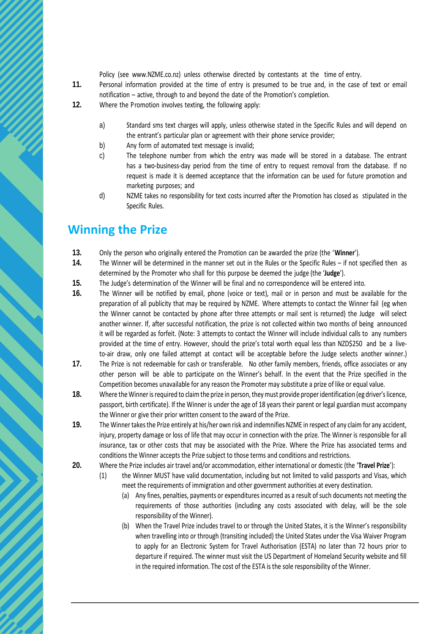Policy (see www.NZME.co.nz) unless otherwise directed by contestants at the time of entry.

- **11.** Personal information provided at the time of entry is presumed to be true and, in the case of text or email notification – active, through to and beyond the date of the Promotion's completion.
- **12.** Where the Promotion involves texting, the following apply:
	- a) Standard sms text charges will apply, unless otherwise stated in the Specific Rules and will depend on the entrant's particular plan or agreement with their phone service provider;
	- b) Any form of automated text message is invalid;
	- c) The telephone number from which the entry was made will be stored in a database. The entrant has a two-business-day period from the time of entry to request removal from the database. If no request is made it is deemed acceptance that the information can be used for future promotion and marketing purposes; and
	- d) NZME takes no responsibility for text costs incurred after the Promotion has closed as stipulated in the Specific Rules.

# **Winning the Prize**

- **13.** Only the person who originally entered the Promotion can be awarded the prize (the '**Winner**').
- **14.** The Winner will be determined in the manner set out in the Rules or the Specific Rules if not specified then as determined by the Promoter who shall for this purpose be deemed the judge (the '**Judge**').
- **15.** The Judge's determination of the Winner will be final and no correspondence will be entered into.
- **16.** The Winner will be notified by email, phone (voice or text), mail or in person and must be available for the preparation of all publicity that may be required by NZME. Where attempts to contact the Winner fail (eg when the Winner cannot be contacted by phone after three attempts or mail sent is returned) the Judge will select another winner. If, after successful notification, the prize is not collected within two months of being announced it will be regarded as forfeit. (Note: 3 attempts to contact the Winner will include individual calls to any numbers provided at the time of entry. However, should the prize's total worth equal less than NZD\$250 and be a liveto-air draw, only one failed attempt at contact will be acceptable before the Judge selects another winner.)
- **17.** The Prize is not redeemable for cash or transferable. No other family members, friends, office associates or any other person will be able to participate on the Winner's behalf. In the event that the Prize specified in the Competition becomes unavailable for any reason the Promoter may substitute a prize of like or equal value.
- **18.** Where the Winner is required to claim the prize in person, they must provide proper identification (eg driver's licence, passport, birth certificate). If the Winner is under the age of 18 years their parent or legal guardian must accompany the Winner or give their prior written consent to the award of the Prize.
- **19.** The Winner takes the Prize entirely at his/her own risk and indemnifies NZME in respect of any claim for any accident, injury, property damage or loss of life that may occur in connection with the prize. The Winner is responsible for all insurance, tax or other costs that may be associated with the Prize. Where the Prize has associated terms and conditions the Winner accepts the Prize subject to those terms and conditions and restrictions.
- **20.** Where the Prize includes air travel and/or accommodation, either international or domestic (the '**Travel Prize**'):
	- (1) the Winner MUST have valid documentation, including but not limited to valid passports and Visas, which meet the requirements of immigration and other government authorities at every destination.
		- (a) Any fines, penalties, payments or expenditures incurred as a result of such documents not meeting the requirements of those authorities (including any costs associated with delay, will be the sole responsibility of the Winner).
		- (b) When the Travel Prize includes travel to or through the United States, it is the Winner's responsibility when travelling into or through (transiting included) the United States under the Visa Waiver Program to apply for an Electronic System for Travel Authorisation (ESTA) no later than 72 hours prior to departure if required. The winner must visit the US Department of Homeland Security website and fill in the required information. The cost of the ESTA is the sole responsibility of the Winner.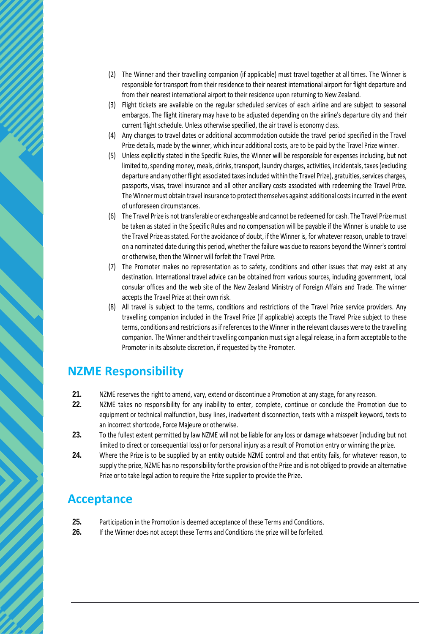- (2) The Winner and their travelling companion (if applicable) must travel together at all times. The Winner is responsible for transport from their residence to their nearest international airport for flight departure and from their nearest international airport to their residence upon returning to New Zealand.
- (3) Flight tickets are available on the regular scheduled services of each airline and are subject to seasonal embargos. The flight itinerary may have to be adjusted depending on the airline's departure city and their current flight schedule. Unless otherwise specified, the air travel is economy class.
- (4) Any changes to travel dates or additional accommodation outside the travel period specified in the Travel Prize details, made by the winner, which incur additional costs, are to be paid by the Travel Prize winner.
- (5) Unless explicitly stated in the Specific Rules, the Winner will be responsible for expenses including, but not limited to, spending money, meals, drinks, transport, laundry charges, activities, incidentals, taxes (excluding departure and any other flight associated taxes included within the Travel Prize), gratuities, services charges, passports, visas, travel insurance and all other ancillary costs associated with redeeming the Travel Prize. The Winner must obtain travel insurance to protect themselves against additional costs incurred in the event of unforeseen circumstances.
- (6) The Travel Prize is not transferable or exchangeable and cannot be redeemed for cash. The Travel Prize must be taken as stated in the Specific Rules and no compensation will be payable if the Winner is unable to use the Travel Prize as stated. For the avoidance of doubt, if the Winner is, for whatever reason, unable to travel on a nominated date during this period, whether the failure was due to reasons beyond the Winner's control or otherwise, then the Winner will forfeit the Travel Prize.
- (7) The Promoter makes no representation as to safety, conditions and other issues that may exist at any destination. International travel advice can be obtained from various sources, including government, local consular offices and the web site of the New Zealand Ministry of Foreign Affairs and Trade. The winner accepts the Travel Prize at their own risk.
- (8) All travel is subject to the terms, conditions and restrictions of the Travel Prize service providers. Any travelling companion included in the Travel Prize (if applicable) accepts the Travel Prize subject to these terms, conditions and restrictions as if references to the Winner in the relevant clauses were to the travelling companion. The Winner and their travelling companion must sign a legal release, in a form acceptable to the Promoter in its absolute discretion, if requested by the Promoter.

# **NZME Responsibility**

- **21.** NZME reserves the right to amend, vary, extend or discontinue a Promotion at any stage, for any reason.
- **22.** NZME takes no responsibility for any inability to enter, complete, continue or conclude the Promotion due to equipment or technical malfunction, busy lines, inadvertent disconnection, texts with a misspelt keyword, texts to an incorrect shortcode, Force Majeure or otherwise.
- **23.** To the fullest extent permitted by law NZME will not be liable for any loss or damage whatsoever (including but not limited to direct or consequential loss) or for personal injury as a result of Promotion entry or winning the prize.
- **24.** Where the Prize is to be supplied by an entity outside NZME control and that entity fails, for whatever reason, to supply the prize, NZME has no responsibility for the provision of the Prize and is not obliged to provide an alternative Prize or to take legal action to require the Prize supplier to provide the Prize.

# **Acceptance**

- **25.** Participation in the Promotion is deemed acceptance of these Terms and Conditions.
- **26.** If the Winner does not accept these Terms and Conditions the prize will be forfeited.